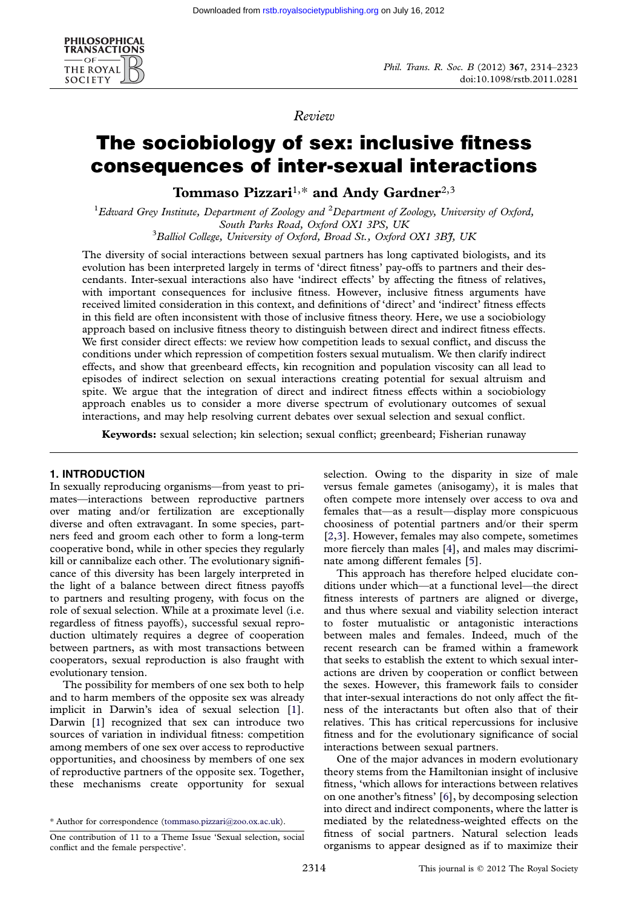

Review

# The sociobiology of sex: inclusive fitness consequences of inter-sexual interactions

Tommaso Pizzari<sup>1,\*</sup> and Andy Gardner<sup>2,3</sup>

<sup>1</sup> Edward Grey Institute, Department of Zoology and <sup>2</sup> Department of Zoology, University of Oxford, South Parks Road, Oxford OX1 3PS, UK

 $3$ Balliol College, University of Oxford, Broad St., Oxford OX1 3BJ, UK

The diversity of social interactions between sexual partners has long captivated biologists, and its evolution has been interpreted largely in terms of 'direct fitness' pay-offs to partners and their descendants. Inter-sexual interactions also have 'indirect effects' by affecting the fitness of relatives, with important consequences for inclusive fitness. However, inclusive fitness arguments have received limited consideration in this context, and definitions of 'direct' and 'indirect' fitness effects in this field are often inconsistent with those of inclusive fitness theory. Here, we use a sociobiology approach based on inclusive fitness theory to distinguish between direct and indirect fitness effects. We first consider direct effects: we review how competition leads to sexual conflict, and discuss the conditions under which repression of competition fosters sexual mutualism. We then clarify indirect effects, and show that greenbeard effects, kin recognition and population viscosity can all lead to episodes of indirect selection on sexual interactions creating potential for sexual altruism and spite. We argue that the integration of direct and indirect fitness effects within a sociobiology approach enables us to consider a more diverse spectrum of evolutionary outcomes of sexual interactions, and may help resolving current debates over sexual selection and sexual conflict.

Keywords: sexual selection; kin selection; sexual conflict; greenbeard; Fisherian runaway

# 1. INTRODUCTION

In sexually reproducing organisms—from yeast to primates—interactions between reproductive partners over mating and/or fertilization are exceptionally diverse and often extravagant. In some species, partners feed and groom each other to form a long-term cooperative bond, while in other species they regularly kill or cannibalize each other. The evolutionary significance of this diversity has been largely interpreted in the light of a balance between direct fitness payoffs to partners and resulting progeny, with focus on the role of sexual selection. While at a proximate level (i.e. regardless of fitness payoffs), successful sexual reproduction ultimately requires a degree of cooperation between partners, as with most transactions between cooperators, sexual reproduction is also fraught with evolutionary tension.

The possibility for members of one sex both to help and to harm members of the opposite sex was already implicit in Darwin's idea of sexual selection [\[1\]](#page-7-0). Darwin [\[1\]](#page-7-0) recognized that sex can introduce two sources of variation in individual fitness: competition among members of one sex over access to reproductive opportunities, and choosiness by members of one sex of reproductive partners of the opposite sex. Together, these mechanisms create opportunity for sexual selection. Owing to the disparity in size of male versus female gametes (anisogamy), it is males that often compete more intensely over access to ova and females that—as a result—display more conspicuous choosiness of potential partners and/or their sperm [\[2,3\]](#page-7-0). However, females may also compete, sometimes more fiercely than males [[4\]](#page-7-0), and males may discriminate among different females [[5](#page-7-0)].

This approach has therefore helped elucidate conditions under which—at a functional level—the direct fitness interests of partners are aligned or diverge, and thus where sexual and viability selection interact to foster mutualistic or antagonistic interactions between males and females. Indeed, much of the recent research can be framed within a framework that seeks to establish the extent to which sexual interactions are driven by cooperation or conflict between the sexes. However, this framework fails to consider that inter-sexual interactions do not only affect the fitness of the interactants but often also that of their relatives. This has critical repercussions for inclusive fitness and for the evolutionary significance of social interactions between sexual partners.

One of the major advances in modern evolutionary theory stems from the Hamiltonian insight of inclusive fitness, 'which allows for interactions between relatives on one another's fitness' [[6](#page-8-0)], by decomposing selection into direct and indirect components, where the latter is mediated by the relatedness-weighted effects on the fitness of social partners. Natural selection leads organisms to appear designed as if to maximize their

<sup>\*</sup> Author for correspondence [\(tommaso.pizzari@zoo.ox.ac.uk\)](mailto:tommaso.pizzari@zoo.ox.ac.uk).

One contribution of 11 to a Theme Issue 'Sexual selection, social conflict and the female perspective'.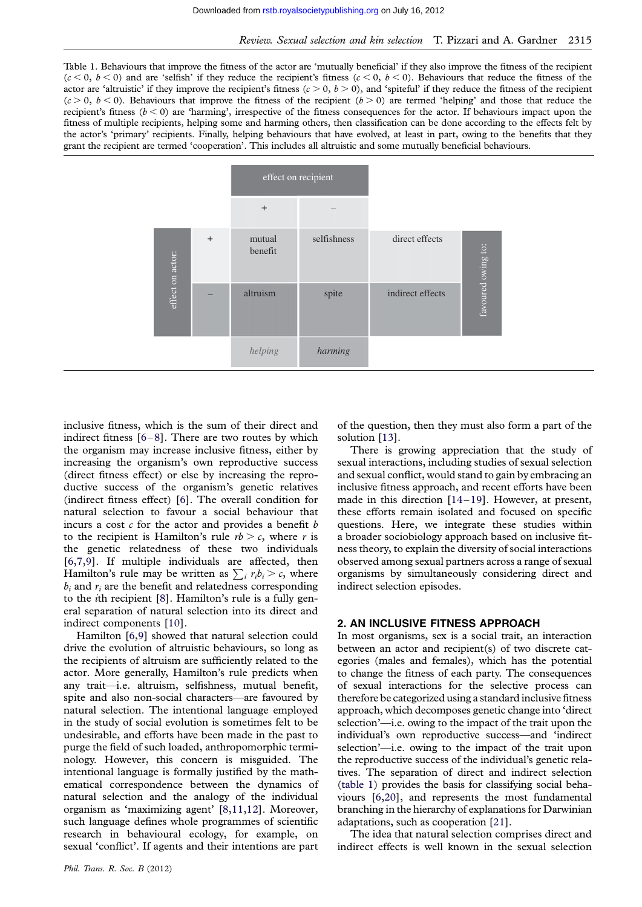Table 1. Behaviours that improve the fitness of the actor are 'mutually beneficial' if they also improve the fitness of the recipient  $(c < 0, b < 0)$  and are 'selfish' if they reduce the recipient's fitness  $(c < 0, b < 0)$ . Behaviours that reduce the fitness of the actor are 'altruistic' if they improve the recipient's fitness  $(c > 0, b > 0)$ , and 'spiteful' if they reduce the fitness of the recipient  $(c > 0, b < 0)$ . Behaviours that improve the fitness of the recipient  $(b > 0)$  are termed 'helping' and those that reduce the recipient's fitness  $(b < 0)$  are 'harming', irrespective of the fitness consequences for the actor. If behaviours impact upon the fitness of multiple recipients, helping some and harming others, then classification can be done according to the effects felt by the actor's 'primary' recipients. Finally, helping behaviours that have evolved, at least in part, owing to the benefits that they grant the recipient are termed 'cooperation'. This includes all altruistic and some mutually beneficial behaviours.



inclusive fitness, which is the sum of their direct and indirect fitness [[6](#page-8-0)–[8\]](#page-8-0). There are two routes by which the organism may increase inclusive fitness, either by increasing the organism's own reproductive success (direct fitness effect) or else by increasing the reproductive success of the organism's genetic relatives (indirect fitness effect) [[6](#page-8-0)]. The overall condition for natural selection to favour a social behaviour that incurs a cost  $c$  for the actor and provides a benefit  $b$ to the recipient is Hamilton's rule  $rb > c$ , where r is the genetic relatedness of these two individuals [[6,7,9](#page-8-0)]. If multiple individuals are affected, then Hamilton's rule may be written as  $\sum_i r_i b_i > c$ , where  $b_i$  and  $r_i$  are the benefit and relatedness corresponding to the ith recipient [\[8\]](#page-8-0). Hamilton's rule is a fully general separation of natural selection into its direct and indirect components [[10](#page-8-0)].

Hamilton [[6,9](#page-8-0)] showed that natural selection could drive the evolution of altruistic behaviours, so long as the recipients of altruism are sufficiently related to the actor. More generally, Hamilton's rule predicts when any trait—i.e. altruism, selfishness, mutual benefit, spite and also non-social characters—are favoured by natural selection. The intentional language employed in the study of social evolution is sometimes felt to be undesirable, and efforts have been made in the past to purge the field of such loaded, anthropomorphic terminology. However, this concern is misguided. The intentional language is formally justified by the mathematical correspondence between the dynamics of natural selection and the analogy of the individual organism as 'maximizing agent' [[8,11,12\]](#page-8-0). Moreover, such language defines whole programmes of scientific research in behavioural ecology, for example, on sexual 'conflict'. If agents and their intentions are part of the question, then they must also form a part of the solution [\[13](#page-8-0)].

There is growing appreciation that the study of sexual interactions, including studies of sexual selection and sexual conflict, would stand to gain by embracing an inclusive fitness approach, and recent efforts have been made in this direction [\[14](#page-8-0)–[19](#page-8-0)]. However, at present, these efforts remain isolated and focused on specific questions. Here, we integrate these studies within a broader sociobiology approach based on inclusive fitness theory, to explain the diversity of social interactions observed among sexual partners across a range of sexual organisms by simultaneously considering direct and indirect selection episodes.

# 2. AN INCLUSIVE FITNESS APPROACH

In most organisms, sex is a social trait, an interaction between an actor and recipient(s) of two discrete categories (males and females), which has the potential to change the fitness of each party. The consequences of sexual interactions for the selective process can therefore be categorized using a standard inclusive fitness approach, which decomposes genetic change into 'direct selection'—i.e. owing to the impact of the trait upon the individual's own reproductive success—and 'indirect selection'—i.e. owing to the impact of the trait upon the reproductive success of the individual's genetic relatives. The separation of direct and indirect selection (table 1) provides the basis for classifying social behaviours [\[6,20](#page-8-0)], and represents the most fundamental branching in the hierarchy of explanations for Darwinian adaptations, such as cooperation [\[21](#page-8-0)].

The idea that natural selection comprises direct and indirect effects is well known in the sexual selection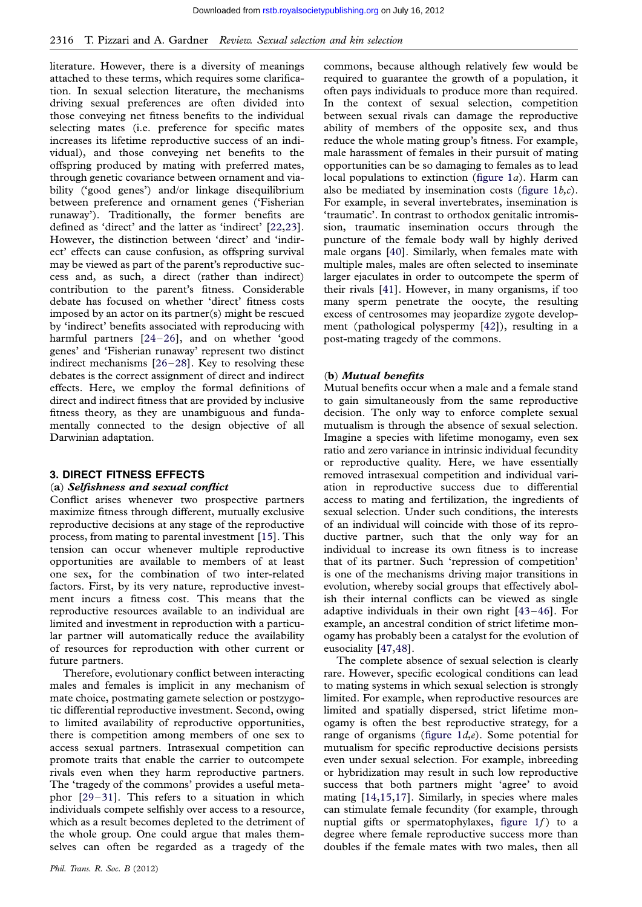literature. However, there is a diversity of meanings attached to these terms, which requires some clarification. In sexual selection literature, the mechanisms driving sexual preferences are often divided into those conveying net fitness benefits to the individual selecting mates (i.e. preference for specific mates increases its lifetime reproductive success of an individual), and those conveying net benefits to the offspring produced by mating with preferred mates, through genetic covariance between ornament and viability ('good genes') and/or linkage disequilibrium between preference and ornament genes ('Fisherian runaway'). Traditionally, the former benefits are defined as 'direct' and the latter as 'indirect' [[22,23\]](#page-8-0). However, the distinction between 'direct' and 'indirect' effects can cause confusion, as offspring survival may be viewed as part of the parent's reproductive success and, as such, a direct (rather than indirect) contribution to the parent's fitness. Considerable debate has focused on whether 'direct' fitness costs imposed by an actor on its partner(s) might be rescued by 'indirect' benefits associated with reproducing with harmful partners [[24](#page-8-0)–[26\]](#page-8-0), and on whether 'good genes' and 'Fisherian runaway' represent two distinct indirect mechanisms [\[26](#page-8-0)–[28](#page-8-0)]. Key to resolving these debates is the correct assignment of direct and indirect effects. Here, we employ the formal definitions of direct and indirect fitness that are provided by inclusive fitness theory, as they are unambiguous and fundamentally connected to the design objective of all Darwinian adaptation.

# 3. DIRECT FITNESS EFFECTS

# (a) Selfishness and sexual conflict

Conflict arises whenever two prospective partners maximize fitness through different, mutually exclusive reproductive decisions at any stage of the reproductive process, from mating to parental investment [\[15](#page-8-0)]. This tension can occur whenever multiple reproductive opportunities are available to members of at least one sex, for the combination of two inter-related factors. First, by its very nature, reproductive investment incurs a fitness cost. This means that the reproductive resources available to an individual are limited and investment in reproduction with a particular partner will automatically reduce the availability of resources for reproduction with other current or future partners.

Therefore, evolutionary conflict between interacting males and females is implicit in any mechanism of mate choice, postmating gamete selection or postzygotic differential reproductive investment. Second, owing to limited availability of reproductive opportunities, there is competition among members of one sex to access sexual partners. Intrasexual competition can promote traits that enable the carrier to outcompete rivals even when they harm reproductive partners. The 'tragedy of the commons' provides a useful metaphor [\[29](#page-8-0)–[31](#page-8-0)]. This refers to a situation in which individuals compete selfishly over access to a resource, which as a result becomes depleted to the detriment of the whole group. One could argue that males themselves can often be regarded as a tragedy of the

commons, because although relatively few would be required to guarantee the growth of a population, it often pays individuals to produce more than required. In the context of sexual selection, competition between sexual rivals can damage the reproductive ability of members of the opposite sex, and thus reduce the whole mating group's fitness. For example, male harassment of females in their pursuit of mating opportunities can be so damaging to females as to lead local populations to extinction (figure  $1a$ ). Harm can also be mediated by insemination costs (figure  $1b,c$ ). For example, in several invertebrates, insemination is 'traumatic'. In contrast to orthodox genitalic intromission, traumatic insemination occurs through the puncture of the female body wall by highly derived male organs [\[40](#page-8-0)]. Similarly, when females mate with multiple males, males are often selected to inseminate larger ejaculates in order to outcompete the sperm of their rivals [[41\]](#page-8-0). However, in many organisms, if too many sperm penetrate the oocyte, the resulting excess of centrosomes may jeopardize zygote development (pathological polyspermy [[42\]](#page-8-0)), resulting in a post-mating tragedy of the commons.

## (b) Mutual benefits

Mutual benefits occur when a male and a female stand to gain simultaneously from the same reproductive decision. The only way to enforce complete sexual mutualism is through the absence of sexual selection. Imagine a species with lifetime monogamy, even sex ratio and zero variance in intrinsic individual fecundity or reproductive quality. Here, we have essentially removed intrasexual competition and individual variation in reproductive success due to differential access to mating and fertilization, the ingredients of sexual selection. Under such conditions, the interests of an individual will coincide with those of its reproductive partner, such that the only way for an individual to increase its own fitness is to increase that of its partner. Such 'repression of competition' is one of the mechanisms driving major transitions in evolution, whereby social groups that effectively abolish their internal conflicts can be viewed as single adaptive individuals in their own right [[43](#page-8-0)–[46\]](#page-8-0). For example, an ancestral condition of strict lifetime monogamy has probably been a catalyst for the evolution of eusociality [[47,48\]](#page-8-0).

The complete absence of sexual selection is clearly rare. However, specific ecological conditions can lead to mating systems in which sexual selection is strongly limited. For example, when reproductive resources are limited and spatially dispersed, strict lifetime monogamy is often the best reproductive strategy, for a range of organisms (figure  $1d,e$ ). Some potential for mutualism for specific reproductive decisions persists even under sexual selection. For example, inbreeding or hybridization may result in such low reproductive success that both partners might 'agree' to avoid mating [\[14,15,17](#page-8-0)]. Similarly, in species where males can stimulate female fecundity (for example, through nuptial gifts or spermatophylaxes, figure  $1f$ ) to a degree where female reproductive success more than doubles if the female mates with two males, then all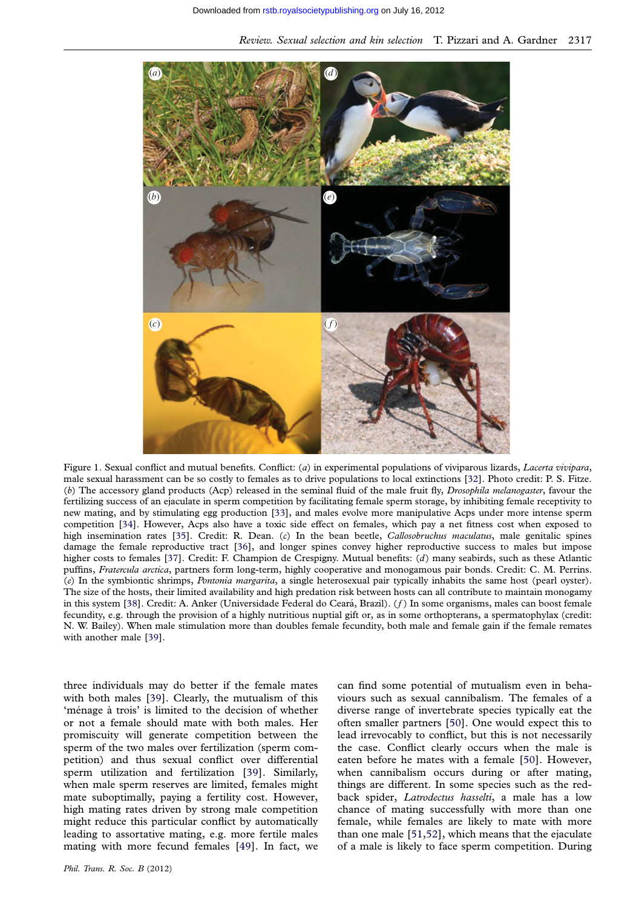<span id="page-3-0"></span>

Figure 1. Sexual conflict and mutual benefits. Conflict: (a) in experimental populations of viviparous lizards, *Lacerta vivipara*, male sexual harassment can be so costly to females as to drive populations to local extinctions [[32\]](#page-8-0). Photo credit: P. S. Fitze. (b) The accessory gland products (Acp) released in the seminal fluid of the male fruit fly, *Drosophila melanogaster*, favour the fertilizing success of an ejaculate in sperm competition by facilitating female sperm storage, by inhibiting female receptivity to new mating, and by stimulating egg production [[33\]](#page-8-0), and males evolve more manipulative Acps under more intense sperm competition [\[34](#page-8-0)]. However, Acps also have a toxic side effect on females, which pay a net fitness cost when exposed to high insemination rates [[35\]](#page-8-0). Credit: R. Dean. (c) In the bean beetle, *Callosobruchus maculatus*, male genitalic spines damage the female reproductive tract [\[36](#page-8-0)], and longer spines convey higher reproductive success to males but impose higher costs to females [\[37](#page-8-0)]. Credit: F. Champion de Crespigny. Mutual benefits: (d) many seabirds, such as these Atlantic puffins, Fratercula arctica, partners form long-term, highly cooperative and monogamous pair bonds. Credit: C. M. Perrins. (e) In the symbiontic shrimps, Pontonia margarita, a single heterosexual pair typically inhabits the same host (pearl oyster). The size of the hosts, their limited availability and high predation risk between hosts can all contribute to maintain monogamy in this system [[38](#page-8-0)]. Credit: A. Anker (Universidade Federal do Ceará, Brazil). (f) In some organisms, males can boost female fecundity, e.g. through the provision of a highly nutritious nuptial gift or, as in some orthopterans, a spermatophylax (credit: N. W. Bailey). When male stimulation more than doubles female fecundity, both male and female gain if the female remates with another male [\[39](#page-8-0)].

three individuals may do better if the female mates with both males [[39\]](#page-8-0). Clearly, the mutualism of this 'ménage à trois' is limited to the decision of whether or not a female should mate with both males. Her promiscuity will generate competition between the sperm of the two males over fertilization (sperm competition) and thus sexual conflict over differential sperm utilization and fertilization [[39\]](#page-8-0). Similarly, when male sperm reserves are limited, females might mate suboptimally, paying a fertility cost. However, high mating rates driven by strong male competition might reduce this particular conflict by automatically leading to assortative mating, e.g. more fertile males mating with more fecund females [[49](#page-8-0)]. In fact, we

can find some potential of mutualism even in behaviours such as sexual cannibalism. The females of a diverse range of invertebrate species typically eat the often smaller partners [[50\]](#page-9-0). One would expect this to lead irrevocably to conflict, but this is not necessarily the case. Conflict clearly occurs when the male is eaten before he mates with a female [\[50](#page-9-0)]. However, when cannibalism occurs during or after mating, things are different. In some species such as the redback spider, Latrodectus hasselti, a male has a low chance of mating successfully with more than one female, while females are likely to mate with more than one male [\[51,52](#page-9-0)], which means that the ejaculate of a male is likely to face sperm competition. During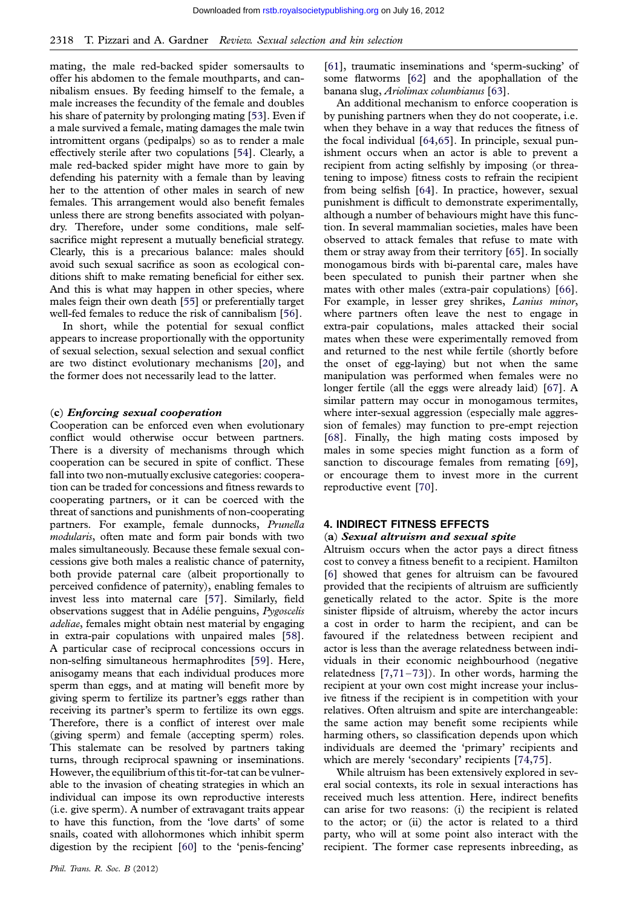mating, the male red-backed spider somersaults to offer his abdomen to the female mouthparts, and cannibalism ensues. By feeding himself to the female, a male increases the fecundity of the female and doubles his share of paternity by prolonging mating [\[53\]](#page-9-0). Even if a male survived a female, mating damages the male twin intromittent organs (pedipalps) so as to render a male effectively sterile after two copulations [[54\]](#page-9-0). Clearly, a male red-backed spider might have more to gain by defending his paternity with a female than by leaving her to the attention of other males in search of new females. This arrangement would also benefit females unless there are strong benefits associated with polyandry. Therefore, under some conditions, male selfsacrifice might represent a mutually beneficial strategy. Clearly, this is a precarious balance: males should avoid such sexual sacrifice as soon as ecological conditions shift to make remating beneficial for either sex. And this is what may happen in other species, where males feign their own death [\[55](#page-9-0)] or preferentially target well-fed females to reduce the risk of cannibalism [[56\]](#page-9-0).

In short, while the potential for sexual conflict appears to increase proportionally with the opportunity of sexual selection, sexual selection and sexual conflict are two distinct evolutionary mechanisms [\[20](#page-8-0)], and the former does not necessarily lead to the latter.

#### (c) Enforcing sexual cooperation

Cooperation can be enforced even when evolutionary conflict would otherwise occur between partners. There is a diversity of mechanisms through which cooperation can be secured in spite of conflict. These fall into two non-mutually exclusive categories: cooperation can be traded for concessions and fitness rewards to cooperating partners, or it can be coerced with the threat of sanctions and punishments of non-cooperating partners. For example, female dunnocks, Prunella modularis, often mate and form pair bonds with two males simultaneously. Because these female sexual concessions give both males a realistic chance of paternity, both provide paternal care (albeit proportionally to perceived confidence of paternity), enabling females to invest less into maternal care [\[57](#page-9-0)]. Similarly, field observations suggest that in Adélie penguins, Pygoscelis adeliae, females might obtain nest material by engaging in extra-pair copulations with unpaired males [[58\]](#page-9-0). A particular case of reciprocal concessions occurs in non-selfing simultaneous hermaphrodites [[59\]](#page-9-0). Here, anisogamy means that each individual produces more sperm than eggs, and at mating will benefit more by giving sperm to fertilize its partner's eggs rather than receiving its partner's sperm to fertilize its own eggs. Therefore, there is a conflict of interest over male (giving sperm) and female (accepting sperm) roles. This stalemate can be resolved by partners taking turns, through reciprocal spawning or inseminations. However, the equilibrium of this tit-for-tat can be vulnerable to the invasion of cheating strategies in which an individual can impose its own reproductive interests (i.e. give sperm). A number of extravagant traits appear to have this function, from the 'love darts' of some snails, coated with allohormones which inhibit sperm digestion by the recipient [[60](#page-9-0)] to the 'penis-fencing'

[\[61\]](#page-9-0), traumatic inseminations and 'sperm-sucking' of some flatworms [\[62](#page-9-0)] and the apophallation of the banana slug, Ariolimax columbianus [\[63](#page-9-0)].

An additional mechanism to enforce cooperation is by punishing partners when they do not cooperate, i.e. when they behave in a way that reduces the fitness of the focal individual [\[64,65](#page-9-0)]. In principle, sexual punishment occurs when an actor is able to prevent a recipient from acting selfishly by imposing (or threatening to impose) fitness costs to refrain the recipient from being selfish [[64\]](#page-9-0). In practice, however, sexual punishment is difficult to demonstrate experimentally, although a number of behaviours might have this function. In several mammalian societies, males have been observed to attack females that refuse to mate with them or stray away from their territory [\[65](#page-9-0)]. In socially monogamous birds with bi-parental care, males have been speculated to punish their partner when she mates with other males (extra-pair copulations) [[66\]](#page-9-0). For example, in lesser grey shrikes, Lanius minor, where partners often leave the nest to engage in extra-pair copulations, males attacked their social mates when these were experimentally removed from and returned to the nest while fertile (shortly before the onset of egg-laying) but not when the same manipulation was performed when females were no longer fertile (all the eggs were already laid) [\[67](#page-9-0)]. A similar pattern may occur in monogamous termites, where inter-sexual aggression (especially male aggression of females) may function to pre-empt rejection [\[68](#page-9-0)]. Finally, the high mating costs imposed by males in some species might function as a form of sanction to discourage females from remating [[69\]](#page-9-0), or encourage them to invest more in the current reproductive event [\[70\]](#page-9-0).

# 4. INDIRECT FITNESS EFFECTS

## (a) Sexual altruism and sexual spite

Altruism occurs when the actor pays a direct fitness cost to convey a fitness benefit to a recipient. Hamilton [\[6\]](#page-8-0) showed that genes for altruism can be favoured provided that the recipients of altruism are sufficiently genetically related to the actor. Spite is the more sinister flipside of altruism, whereby the actor incurs a cost in order to harm the recipient, and can be favoured if the relatedness between recipient and actor is less than the average relatedness between individuals in their economic neighbourhood (negative relatedness  $[7,71-73]$  $[7,71-73]$  $[7,71-73]$  $[7,71-73]$ . In other words, harming the recipient at your own cost might increase your inclusive fitness if the recipient is in competition with your relatives. Often altruism and spite are interchangeable: the same action may benefit some recipients while harming others, so classification depends upon which individuals are deemed the 'primary' recipients and which are merely 'secondary' recipients [\[74,75](#page-9-0)].

While altruism has been extensively explored in several social contexts, its role in sexual interactions has received much less attention. Here, indirect benefits can arise for two reasons: (i) the recipient is related to the actor; or (ii) the actor is related to a third party, who will at some point also interact with the recipient. The former case represents inbreeding, as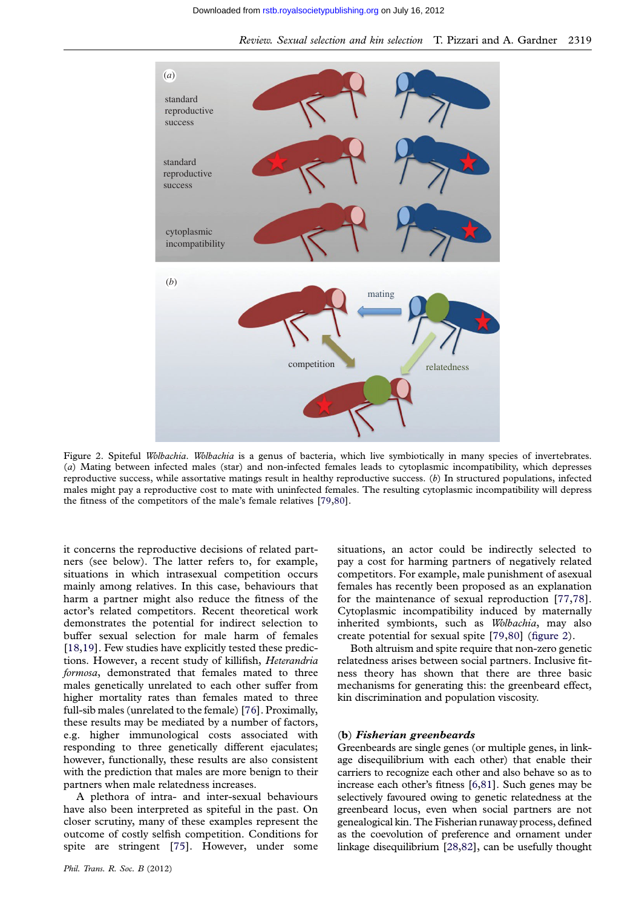

Figure 2. Spiteful Wolbachia. Wolbachia is a genus of bacteria, which live symbiotically in many species of invertebrates. (a) Mating between infected males (star) and non-infected females leads to cytoplasmic incompatibility, which depresses reproductive success, while assortative matings result in healthy reproductive success. (b) In structured populations, infected males might pay a reproductive cost to mate with uninfected females. The resulting cytoplasmic incompatibility will depress the fitness of the competitors of the male's female relatives [\[79](#page-9-0),[80\]](#page-9-0).

it concerns the reproductive decisions of related partners (see below). The latter refers to, for example, situations in which intrasexual competition occurs mainly among relatives. In this case, behaviours that harm a partner might also reduce the fitness of the actor's related competitors. Recent theoretical work demonstrates the potential for indirect selection to buffer sexual selection for male harm of females [[18,19](#page-8-0)]. Few studies have explicitly tested these predictions. However, a recent study of killifish, Heterandria formosa, demonstrated that females mated to three males genetically unrelated to each other suffer from higher mortality rates than females mated to three full-sib males (unrelated to the female) [\[76\]](#page-9-0). Proximally, these results may be mediated by a number of factors, e.g. higher immunological costs associated with responding to three genetically different ejaculates; however, functionally, these results are also consistent with the prediction that males are more benign to their partners when male relatedness increases.

A plethora of intra- and inter-sexual behaviours have also been interpreted as spiteful in the past. On closer scrutiny, many of these examples represent the outcome of costly selfish competition. Conditions for spite are stringent [[75](#page-9-0)]. However, under some

situations, an actor could be indirectly selected to pay a cost for harming partners of negatively related competitors. For example, male punishment of asexual females has recently been proposed as an explanation for the maintenance of sexual reproduction [\[77,78](#page-9-0)]. Cytoplasmic incompatibility induced by maternally inherited symbionts, such as Wolbachia, may also create potential for sexual spite [\[79,80](#page-9-0)] (figure 2).

Both altruism and spite require that non-zero genetic relatedness arises between social partners. Inclusive fitness theory has shown that there are three basic mechanisms for generating this: the greenbeard effect, kin discrimination and population viscosity.

## (b) Fisherian greenbeards

Greenbeards are single genes (or multiple genes, in linkage disequilibrium with each other) that enable their carriers to recognize each other and also behave so as to increase each other's fitness [[6](#page-8-0)[,81\]](#page-9-0). Such genes may be selectively favoured owing to genetic relatedness at the greenbeard locus, even when social partners are not genealogical kin. The Fisherian runaway process, defined as the coevolution of preference and ornament under linkage disequilibrium [\[28](#page-8-0)[,82\]](#page-9-0), can be usefully thought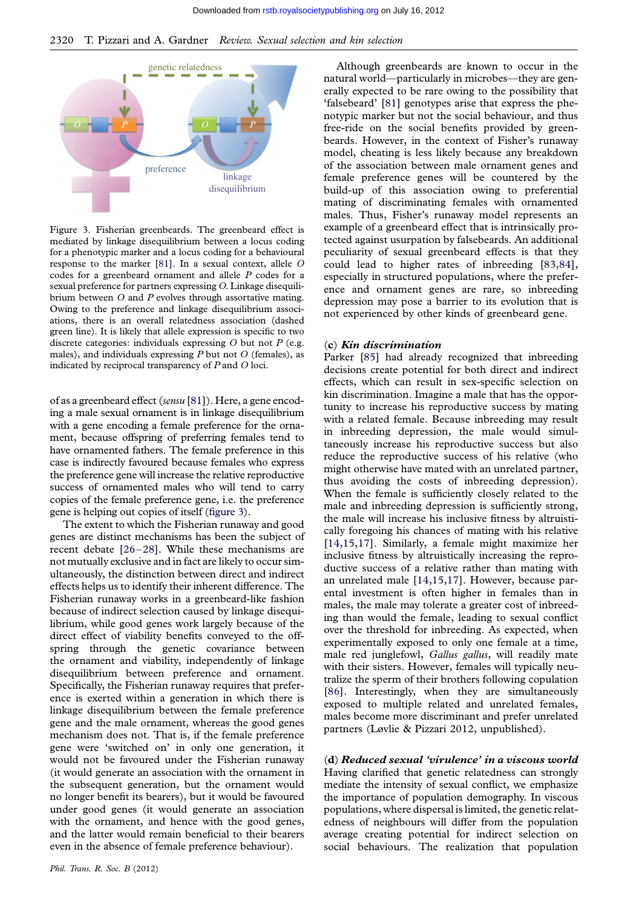

Figure 3. Fisherian greenbeards. The greenbeard effect is mediated by linkage disequilibrium between a locus coding for a phenotypic marker and a locus coding for a behavioural response to the marker [\[81\]](#page-9-0). In a sexual context, allele O codes for a greenbeard ornament and allele P codes for a sexual preference for partners expressing O. Linkage disequilibrium between O and P evolves through assortative mating. Owing to the preference and linkage disequilibrium associations, there is an overall relatedness association (dashed green line). It is likely that allele expression is specific to two discrete categories: individuals expressing  $O$  but not  $P$  (e.g. males), and individuals expressing  $P$  but not  $O$  (females), as indicated by reciprocal transparency of P and O loci.

of as a greenbeard effect (sensu [[81\]](#page-9-0)). Here, a gene encoding a male sexual ornament is in linkage disequilibrium with a gene encoding a female preference for the ornament, because offspring of preferring females tend to have ornamented fathers. The female preference in this case is indirectly favoured because females who express the preference gene will increase the relative reproductive success of ornamented males who will tend to carry copies of the female preference gene, i.e. the preference gene is helping out copies of itself (figure 3).

The extent to which the Fisherian runaway and good genes are distinct mechanisms has been the subject of recent debate [\[26](#page-8-0)–[28](#page-8-0)]. While these mechanisms are not mutually exclusive and in fact are likely to occur simultaneously, the distinction between direct and indirect effects helps us to identify their inherent difference. The Fisherian runaway works in a greenbeard-like fashion because of indirect selection caused by linkage disequilibrium, while good genes work largely because of the direct effect of viability benefits conveyed to the offspring through the genetic covariance between the ornament and viability, independently of linkage disequilibrium between preference and ornament. Specifically, the Fisherian runaway requires that preference is exerted within a generation in which there is linkage disequilibrium between the female preference gene and the male ornament, whereas the good genes mechanism does not. That is, if the female preference gene were 'switched on' in only one generation, it would not be favoured under the Fisherian runaway (it would generate an association with the ornament in the subsequent generation, but the ornament would no longer benefit its bearers), but it would be favoured under good genes (it would generate an association with the ornament, and hence with the good genes, and the latter would remain beneficial to their bearers even in the absence of female preference behaviour).

natural world—particularly in microbes—they are generally expected to be rare owing to the possibility that 'falsebeard' [\[81](#page-9-0)] genotypes arise that express the phenotypic marker but not the social behaviour, and thus free-ride on the social benefits provided by greenbeards. However, in the context of Fisher's runaway model, cheating is less likely because any breakdown of the association between male ornament genes and female preference genes will be countered by the build-up of this association owing to preferential mating of discriminating females with ornamented males. Thus, Fisher's runaway model represents an example of a greenbeard effect that is intrinsically protected against usurpation by falsebeards. An additional peculiarity of sexual greenbeard effects is that they could lead to higher rates of inbreeding [[83,84\]](#page-9-0), especially in structured populations, where the preference and ornament genes are rare, so inbreeding depression may pose a barrier to its evolution that is not experienced by other kinds of greenbeard gene.

Although greenbeards are known to occur in the

### (c) Kin discrimination

Parker [\[85](#page-9-0)] had already recognized that inbreeding decisions create potential for both direct and indirect effects, which can result in sex-specific selection on kin discrimination. Imagine a male that has the opportunity to increase his reproductive success by mating with a related female. Because inbreeding may result in inbreeding depression, the male would simultaneously increase his reproductive success but also reduce the reproductive success of his relative (who might otherwise have mated with an unrelated partner, thus avoiding the costs of inbreeding depression). When the female is sufficiently closely related to the male and inbreeding depression is sufficiently strong, the male will increase his inclusive fitness by altruistically foregoing his chances of mating with his relative [\[14,15](#page-8-0),[17](#page-8-0)]. Similarly, a female might maximize her inclusive fitness by altruistically increasing the reproductive success of a relative rather than mating with an unrelated male [[14,15,17\]](#page-8-0). However, because parental investment is often higher in females than in males, the male may tolerate a greater cost of inbreeding than would the female, leading to sexual conflict over the threshold for inbreeding. As expected, when experimentally exposed to only one female at a time, male red junglefowl, *Gallus gallus*, will readily mate with their sisters. However, females will typically neutralize the sperm of their brothers following copulation [\[86](#page-9-0)]. Interestingly, when they are simultaneously exposed to multiple related and unrelated females, males become more discriminant and prefer unrelated partners (Løvlie & Pizzari 2012, unpublished).

(d) Reduced sexual 'virulence' in a viscous world Having clarified that genetic relatedness can strongly mediate the intensity of sexual conflict, we emphasize the importance of population demography. In viscous populations, where dispersal is limited, the genetic relatedness of neighbours will differ from the population average creating potential for indirect selection on social behaviours. The realization that population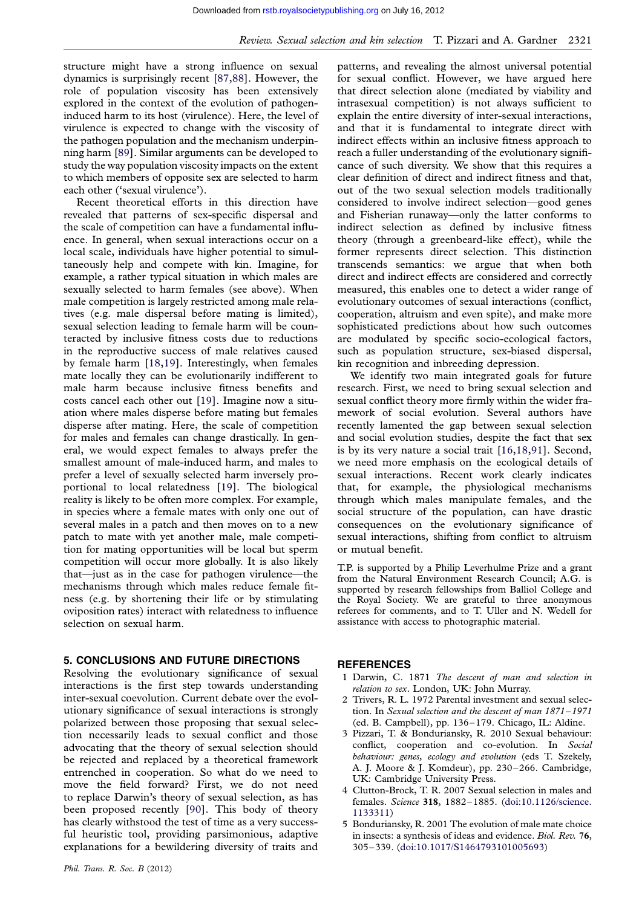<span id="page-7-0"></span>structure might have a strong influence on sexual dynamics is surprisingly recent [[87,88](#page-9-0)]. However, the role of population viscosity has been extensively explored in the context of the evolution of pathogeninduced harm to its host (virulence). Here, the level of virulence is expected to change with the viscosity of the pathogen population and the mechanism underpinning harm [\[89](#page-9-0)]. Similar arguments can be developed to study the way population viscosity impacts on the extent to which members of opposite sex are selected to harm each other ('sexual virulence').

Recent theoretical efforts in this direction have revealed that patterns of sex-specific dispersal and the scale of competition can have a fundamental influence. In general, when sexual interactions occur on a local scale, individuals have higher potential to simultaneously help and compete with kin. Imagine, for example, a rather typical situation in which males are sexually selected to harm females (see above). When male competition is largely restricted among male relatives (e.g. male dispersal before mating is limited), sexual selection leading to female harm will be counteracted by inclusive fitness costs due to reductions in the reproductive success of male relatives caused by female harm [[18,19\]](#page-8-0). Interestingly, when females mate locally they can be evolutionarily indifferent to male harm because inclusive fitness benefits and costs cancel each other out [[19\]](#page-8-0). Imagine now a situation where males disperse before mating but females disperse after mating. Here, the scale of competition for males and females can change drastically. In general, we would expect females to always prefer the smallest amount of male-induced harm, and males to prefer a level of sexually selected harm inversely proportional to local relatedness [[19\]](#page-8-0). The biological reality is likely to be often more complex. For example, in species where a female mates with only one out of several males in a patch and then moves on to a new patch to mate with yet another male, male competition for mating opportunities will be local but sperm competition will occur more globally. It is also likely that—just as in the case for pathogen virulence—the mechanisms through which males reduce female fitness (e.g. by shortening their life or by stimulating oviposition rates) interact with relatedness to influence selection on sexual harm.

## 5. CONCLUSIONS AND FUTURE DIRECTIONS

Resolving the evolutionary significance of sexual interactions is the first step towards understanding inter-sexual coevolution. Current debate over the evolutionary significance of sexual interactions is strongly polarized between those proposing that sexual selection necessarily leads to sexual conflict and those advocating that the theory of sexual selection should be rejected and replaced by a theoretical framework entrenched in cooperation. So what do we need to move the field forward? First, we do not need to replace Darwin's theory of sexual selection, as has been proposed recently [[90\]](#page-9-0). This body of theory has clearly withstood the test of time as a very successful heuristic tool, providing parsimonious, adaptive explanations for a bewildering diversity of traits and

patterns, and revealing the almost universal potential for sexual conflict. However, we have argued here that direct selection alone (mediated by viability and intrasexual competition) is not always sufficient to explain the entire diversity of inter-sexual interactions, and that it is fundamental to integrate direct with indirect effects within an inclusive fitness approach to reach a fuller understanding of the evolutionary significance of such diversity. We show that this requires a clear definition of direct and indirect fitness and that, out of the two sexual selection models traditionally considered to involve indirect selection—good genes and Fisherian runaway—only the latter conforms to indirect selection as defined by inclusive fitness theory (through a greenbeard-like effect), while the former represents direct selection. This distinction transcends semantics: we argue that when both direct and indirect effects are considered and correctly measured, this enables one to detect a wider range of evolutionary outcomes of sexual interactions (conflict, cooperation, altruism and even spite), and make more sophisticated predictions about how such outcomes are modulated by specific socio-ecological factors, such as population structure, sex-biased dispersal, kin recognition and inbreeding depression.

We identify two main integrated goals for future research. First, we need to bring sexual selection and sexual conflict theory more firmly within the wider framework of social evolution. Several authors have recently lamented the gap between sexual selection and social evolution studies, despite the fact that sex is by its very nature a social trait [[16,18,](#page-8-0)[91\]](#page-9-0). Second, we need more emphasis on the ecological details of sexual interactions. Recent work clearly indicates that, for example, the physiological mechanisms through which males manipulate females, and the social structure of the population, can have drastic consequences on the evolutionary significance of sexual interactions, shifting from conflict to altruism or mutual benefit.

T.P. is supported by a Philip Leverhulme Prize and a grant from the Natural Environment Research Council; A.G. is supported by research fellowships from Balliol College and the Royal Society. We are grateful to three anonymous referees for comments, and to T. Uller and N. Wedell for assistance with access to photographic material.

# **REFERENCES**

- 1 Darwin, C. 1871 The descent of man and selection in relation to sex. London, UK: John Murray.
- 2 Trivers, R. L. 1972 Parental investment and sexual selection. In Sexual selection and the descent of man 1871–1971 (ed. B. Campbell), pp. 136–179. Chicago, IL: Aldine.
- 3 Pizzari, T. & Bonduriansky, R. 2010 Sexual behaviour: conflict, cooperation and co-evolution. In Social behaviour: genes, ecology and evolution (eds T. Szekely, A. J. Moore & J. Komdeur), pp. 230–266. Cambridge, UK: Cambridge University Press.
- 4 Clutton-Brock, T. R. 2007 Sexual selection in males and females. Science 318, 1882–1885. [\(doi:10.1126/science.](http://dx.doi.org/10.1126/science.1133311) [1133311\)](http://dx.doi.org/10.1126/science.1133311)
- 5 Bonduriansky, R. 2001 The evolution of male mate choice in insects: a synthesis of ideas and evidence. Biol. Rev. 76, 305–339. [\(doi:10.1017/S1464793101005693\)](http://dx.doi.org/10.1017/S1464793101005693)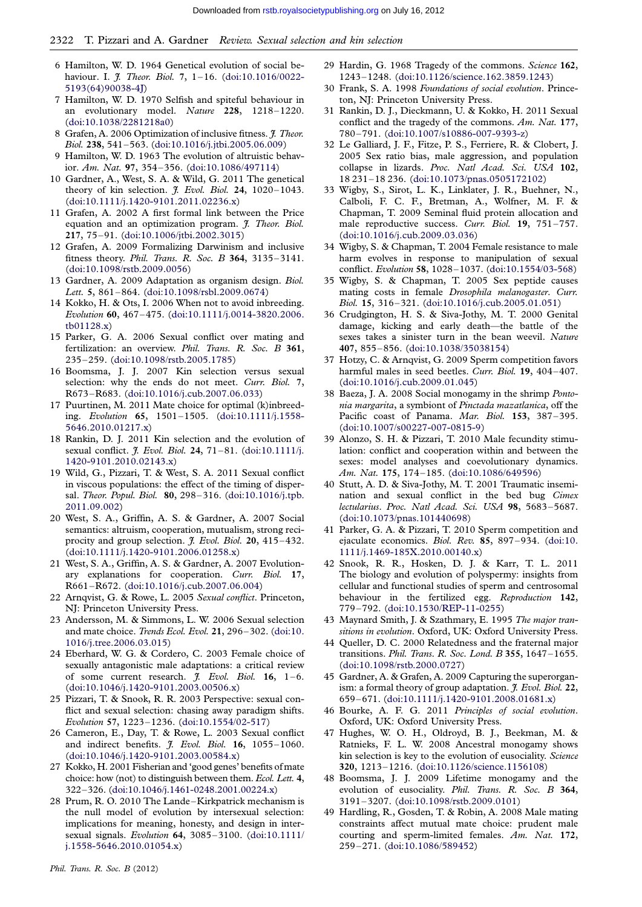- <span id="page-8-0"></span>2322 T. Pizzari and A. Gardner Review. Sexual selection and kin selection
- 6 Hamilton, W. D. 1964 Genetical evolution of social behaviour. I. *J. Theor. Biol.* 7, 1-16. [\(doi:10.1016/0022-](http://dx.doi.org/10.1016/0022-5193(64)90038-4J) [5193\(64\)90038-4J](http://dx.doi.org/10.1016/0022-5193(64)90038-4J))
- 7 Hamilton, W. D. 1970 Selfish and spiteful behaviour in an evolutionary model. Nature 228, 1218–1220. ([doi:10.1038/2281218a0\)](http://dx.doi.org/10.1038/2281218a0)
- 8 Grafen, A. 2006 Optimization of inclusive fitness. *I. Theor.* Biol. 238, 541–563. ([doi:10.1016/j.jtbi.2005.06.009\)](http://dx.doi.org/10.1016/j.jtbi.2005.06.009)
- 9 Hamilton, W. D. 1963 The evolution of altruistic behavior. Am. Nat. 97, 354–356. [\(doi:10.1086/497114](http://dx.doi.org/10.1086/497114))
- 10 Gardner, A., West, S. A. & Wild, G. 2011 The genetical theory of kin selection.  $\tilde{f}$ . Evol. Biol. 24, 1020-1043. [\(doi:10.1111/j.1420-9101.2011.02236.x](http://dx.doi.org/10.1111/j.1420-9101.2011.02236.x))
- 11 Grafen, A. 2002 A first formal link between the Price equation and an optimization program. *J. Theor. Biol.* 217, 75–91. ([doi:10.1006/jtbi.2002.3015](http://dx.doi.org/10.1006/jtbi.2002.3015))
- 12 Grafen, A. 2009 Formalizing Darwinism and inclusive fitness theory. Phil. Trans. R. Soc. B 364, 3135–3141. [\(doi:10.1098/rstb.2009.0056\)](http://dx.doi.org/10.1098/rstb.2009.0056)
- 13 Gardner, A. 2009 Adaptation as organism design. Biol. Lett. 5, 861–864. ([doi:10.1098/rsbl.2009.0674\)](http://dx.doi.org/10.1098/rsbl.2009.0674)
- 14 Kokko, H. & Ots, I. 2006 When not to avoid inbreeding. Evolution 60, 467–475. [\(doi:10.1111/j.0014-3820.2006.](http://dx.doi.org/10.1111/j.0014-3820.2006.tb01128.x) [tb01128.x\)](http://dx.doi.org/10.1111/j.0014-3820.2006.tb01128.x)
- 15 Parker, G. A. 2006 Sexual conflict over mating and fertilization: an overview. Phil. Trans. R. Soc. B 361, 235–259. ([doi:10.1098/rstb.2005.1785\)](http://dx.doi.org/10.1098/rstb.2005.1785)
- 16 Boomsma, J. J. 2007 Kin selection versus sexual selection: why the ends do not meet. Curr. Biol. 7, R673–R683. ([doi:10.1016/j.cub.2007.06.033](http://dx.doi.org/10.1016/j.cub.2007.06.033))
- 17 Puurtinen, M. 2011 Mate choice for optimal (k)inbreeding. Evolution 65, 1501–1505. [\(doi:10.1111/j.1558-](http://dx.doi.org/10.1111/j.1558-5646.2010.01217.x) [5646.2010.01217.x\)](http://dx.doi.org/10.1111/j.1558-5646.2010.01217.x)
- 18 Rankin, D. J. 2011 Kin selection and the evolution of sexual conflict. *J. Evol. Biol.* 24, 71-81. [\(doi:10.1111/j.](http://dx.doi.org/10.1111/j.1420-9101.2010.02143.x) [1420-9101.2010.02143.x\)](http://dx.doi.org/10.1111/j.1420-9101.2010.02143.x)
- 19 Wild, G., Pizzari, T. & West, S. A. 2011 Sexual conflict in viscous populations: the effect of the timing of dispersal. Theor. Popul. Biol. 80, 298–316. ([doi:10.1016/j.tpb.](http://dx.doi.org/10.1016/j.tpb.2011.09.002) [2011.09.002\)](http://dx.doi.org/10.1016/j.tpb.2011.09.002)
- 20 West, S. A., Griffin, A. S. & Gardner, A. 2007 Social semantics: altruism, cooperation, mutualism, strong reciprocity and group selection. *J. Evol. Biol.* 20, 415–432. [\(doi:10.1111/j.1420-9101.2006.01258.x](http://dx.doi.org/10.1111/j.1420-9101.2006.01258.x))
- 21 West, S. A., Griffin, A. S. & Gardner, A. 2007 Evolutionary explanations for cooperation. Curr. Biol. 17, R661–R672. ([doi:10.1016/j.cub.2007.06.004](http://dx.doi.org/10.1016/j.cub.2007.06.004))
- 22 Arnqvist, G. & Rowe, L. 2005 Sexual conflict. Princeton, NJ: Princeton University Press.
- 23 Andersson, M. & Simmons, L. W. 2006 Sexual selection and mate choice. Trends Ecol. Evol. 21, 296–302. ([doi:10.](http://dx.doi.org/10.1016/j.tree.2006.03.015) [1016/j.tree.2006.03.015](http://dx.doi.org/10.1016/j.tree.2006.03.015))
- 24 Eberhard, W. G. & Cordero, C. 2003 Female choice of sexually antagonistic male adaptations: a critical review of some current research.  $\tilde{f}$ . Evol. Biol. 16, 1-6. [\(doi:10.1046/j.1420-9101.2003.00506.x](http://dx.doi.org/10.1046/j.1420-9101.2003.00506.x))
- 25 Pizzari, T. & Snook, R. R. 2003 Perspective: sexual conflict and sexual selection: chasing away paradigm shifts. Evolution 57, 1223–1236. [\(doi:10.1554/02-517](http://dx.doi.org/10.1554/02-517))
- 26 Cameron, E., Day, T. & Rowe, L. 2003 Sexual conflict and indirect benefits.  $\tilde{J}$ . Evol. Biol. 16, 1055-1060. [\(doi:10.1046/j.1420-9101.2003.00584.x](http://dx.doi.org/10.1046/j.1420-9101.2003.00584.x))
- 27 Kokko, H. 2001 Fisherian and 'good genes' benefits of mate choice: how (not) to distinguish between them. Ecol. Lett. 4, 322–326. [\(doi:10.1046/j.1461-0248.2001.00224.x](http://dx.doi.org/10.1046/j.1461-0248.2001.00224.x))
- 28 Prum, R. O. 2010 The Lande–Kirkpatrick mechanism is the null model of evolution by intersexual selection: implications for meaning, honesty, and design in intersexual signals. Evolution 64, 3085–3100. [\(doi:10.1111/](http://dx.doi.org/10.1111/j.1558-5646.2010.01054.x) [j.1558-5646.2010.01054.x\)](http://dx.doi.org/10.1111/j.1558-5646.2010.01054.x)
- 29 Hardin, G. 1968 Tragedy of the commons. Science 162, 1243–1248. ([doi:10.1126/science.162.3859.1243](http://dx.doi.org/10.1126/science.162.3859.1243))
- 30 Frank, S. A. 1998 Foundations of social evolution. Princeton, NJ: Princeton University Press.
- 31 Rankin, D. J., Dieckmann, U. & Kokko, H. 2011 Sexual conflict and the tragedy of the commons. Am. Nat. 177, 780–791. ([doi:10.1007/s10886-007-9393-z\)](http://dx.doi.org/10.1007/s10886-007-9393-z)
- 32 Le Galliard, J. F., Fitze, P. S., Ferriere, R. & Clobert, J. 2005 Sex ratio bias, male aggression, and population collapse in lizards. Proc. Natl Acad. Sci. USA 102, 18 231–18 236. [\(doi:10.1073/pnas.0505172102\)](http://dx.doi.org/10.1073/pnas.0505172102)
- 33 Wigby, S., Sirot, L. K., Linklater, J. R., Buehner, N., Calboli, F. C. F., Bretman, A., Wolfner, M. F. & Chapman, T. 2009 Seminal fluid protein allocation and male reproductive success. Curr. Biol. 19, 751-757. [\(doi:10.1016/j.cub.2009.03.036\)](http://dx.doi.org/10.1016/j.cub.2009.03.036)
- 34 Wigby, S. & Chapman, T. 2004 Female resistance to male harm evolves in response to manipulation of sexual conflict. Evolution 58, 1028–1037. [\(doi:10.1554/03-568\)](http://dx.doi.org/10.1554/03-568)
- 35 Wigby, S. & Chapman, T. 2005 Sex peptide causes mating costs in female Drosophila melanogaster. Curr. Biol. 15, 316–321. ([doi:10.1016/j.cub.2005.01.051](http://dx.doi.org/10.1016/j.cub.2005.01.051))
- 36 Crudgington, H. S. & Siva-Jothy, M. T. 2000 Genital damage, kicking and early death—the battle of the sexes takes a sinister turn in the bean weevil. Nature 407, 855–856. ([doi:10.1038/35038154](http://dx.doi.org/10.1038/35038154))
- 37 Hotzy, C. & Arnqvist, G. 2009 Sperm competition favors harmful males in seed beetles. Curr. Biol. 19, 404-407. [\(doi:10.1016/j.cub.2009.01.045\)](http://dx.doi.org/10.1016/j.cub.2009.01.045)
- 38 Baeza, J. A. 2008 Social monogamy in the shrimp Pontonia margarita, a symbiont of Pinctada mazatlanica, off the Pacific coast of Panama. Mar. Biol. 153, 387–395. [\(doi:10.1007/s00227-007-0815-9](http://dx.doi.org/10.1007/s00227-007-0815-9))
- 39 Alonzo, S. H. & Pizzari, T. 2010 Male fecundity stimulation: conflict and cooperation within and between the sexes: model analyses and coevolutionary dynamics. Am. Nat. 175, 174-185. [\(doi:10.1086/649596\)](http://dx.doi.org/10.1086/649596)
- 40 Stutt, A. D. & Siva-Jothy, M. T. 2001 Traumatic insemination and sexual conflict in the bed bug Cimex lectularius. Proc. Natl Acad. Sci. USA 98, 5683-5687. [\(doi:10.1073/pnas.101440698](http://dx.doi.org/10.1073/pnas.101440698))
- 41 Parker, G. A. & Pizzari, T. 2010 Sperm competition and ejaculate economics. Biol. Rev. 85, 897–934. ([doi:10.](http://dx.doi.org/10.1111/j.1469-185X.2010.00140.x) [1111/j.1469-185X.2010.00140.x](http://dx.doi.org/10.1111/j.1469-185X.2010.00140.x))
- 42 Snook, R. R., Hosken, D. J. & Karr, T. L. 2011 The biology and evolution of polyspermy: insights from cellular and functional studies of sperm and centrosomal behaviour in the fertilized egg. Reproduction 142, 779–792. ([doi:10.1530/REP-11-0255](http://dx.doi.org/10.1530/REP-11-0255))
- 43 Maynard Smith, J. & Szathmary, E. 1995 The major transitions in evolution. Oxford, UK: Oxford University Press.
- 44 Queller, D. C. 2000 Relatedness and the fraternal major transitions. Phil. Trans. R. Soc. Lond. B 355, 1647–1655. [\(doi:10.1098/rstb.2000.0727\)](http://dx.doi.org/10.1098/rstb.2000.0727)
- 45 Gardner, A. & Grafen, A. 2009 Capturing the superorganism: a formal theory of group adaptation. *J. Evol. Biol.* 22, 659–671. [\(doi:10.1111/j.1420-9101.2008.01681.x](http://dx.doi.org/10.1111/j.1420-9101.2008.01681.x))
- 46 Bourke, A. F. G. 2011 Principles of social evolution. Oxford, UK: Oxford University Press.
- 47 Hughes, W. O. H., Oldroyd, B. J., Beekman, M. & Ratnieks, F. L. W. 2008 Ancestral monogamy shows kin selection is key to the evolution of eusociality. Science 320, 1213–1216. [\(doi:10.1126/science.1156108\)](http://dx.doi.org/10.1126/science.1156108)
- 48 Boomsma, J. J. 2009 Lifetime monogamy and the evolution of eusociality. Phil. Trans. R. Soc. B 364, 3191–3207. ([doi:10.1098/rstb.2009.0101\)](http://dx.doi.org/10.1098/rstb.2009.0101)
- 49 Hardling, R., Gosden, T. & Robin, A. 2008 Male mating constraints affect mutual mate choice: prudent male courting and sperm-limited females. Am. Nat. 172, 259–271. ([doi:10.1086/589452\)](http://dx.doi.org/10.1086/589452)